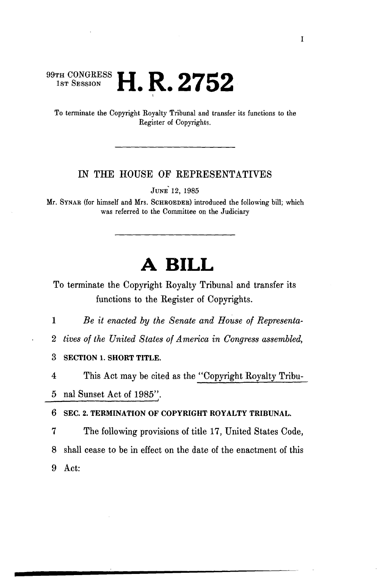## **ITH CONGRESS LI D O7EQ** 1st Session  $\blacksquare$   $\blacksquare$   $\blacksquare$   $\blacksquare$   $\blacksquare$   $\blacksquare$   $\blacksquare$

To terminate the Copyright Royalty Tribunal and transfer its functions to the Register of Copyrights.

## IN THE HOUSE OF REPRESENTATIVES

JUNE' 12, 1985

Mr. SYNAR (for himself and Mrs. SCHROEDER) introduced the following bill; which was referred to the Committee on the Judiciary

## **A BILL**

To terminate the Copyright Royalty Tribunal and transfer its functions to the Register of Copyrights.

1 *Be it enacted by the Senate and House of Representa-*

2 *tives of the United States of America in Congress assembled,* 

**3 SECTION 1. SHORT TITLE.** 

4 This Act may be cited as the "Copyright Royalty Tribu-5 nal Sunset Act of 1985".

6 **SEC. 2. TERMINATION OF COPYRIGHT ROYALTY TRIBUNAL.** 

7 The following provisions of title 17, United States Code, 8 shall cease to be in effect on the date of the enactment of this 9 Act: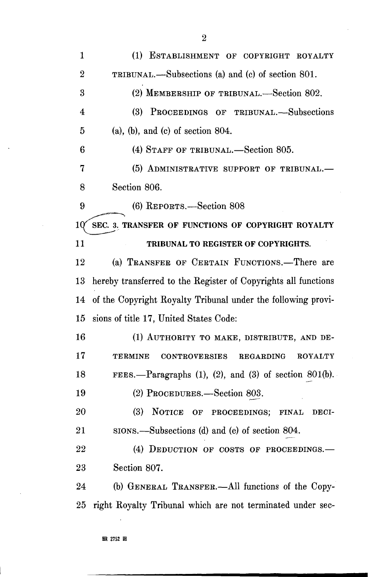| $\mathbf{1}$   | (1) ESTABLISHMENT OF COPYRIGHT ROYALTY                                |
|----------------|-----------------------------------------------------------------------|
| $\overline{2}$ | TRIBUNAL.—Subsections (a) and (c) of section 801.                     |
| 3              | (2) MEMBERSHIP OF TRIBUNAL.—Section 802.                              |
| $\overline{4}$ | (3)<br>PROCEEDINGS OF TRIBUNAL.-Subsections                           |
| 5              | $(a)$ , $(b)$ , and $(c)$ of section 804.                             |
| 6              | (4) STAFF OF TRIBUNAL.—Section 805.                                   |
| 7              | (5) ADMINISTRATIVE SUPPORT OF TRIBUNAL.-                              |
| 8              | Section 806.                                                          |
| 9              | (6) REPORTS.—Section 808                                              |
| 10             | SEC. 3. TRANSFER OF FUNCTIONS OF COPYRIGHT ROYALTY                    |
| 11             | TRIBUNAL TO REGISTER OF COPYRIGHTS.                                   |
| 12             | (a) TRANSFER OF CERTAIN FUNCTIONS.—There are                          |
| 13             | hereby transferred to the Register of Copyrights all functions        |
| 14             | of the Copyright Royalty Tribunal under the following provi-          |
| 15             | sions of title 17, United States Code:                                |
| 16             | (1) AUTHORITY TO MAKE, DISTRIBUTE, AND DE-                            |
| 17             | <b>CONTROVERSIES</b><br>REGARDING<br><b>ROYALTY</b><br><b>TERMINE</b> |
| 18             | FEES.—Paragraphs $(1)$ , $(2)$ , and $(3)$ of section 801(b).         |
| 19             | (2) PROCEDURES.—Section 803.                                          |
| 20             | (3)<br>NOTICE OF PROCEEDINGS;<br><b>FINAL</b><br>DECI-                |
| 21             | sions.—Subsections (d) and (e) of section 804.                        |
| 22             | (4) DEDUCTION OF COSTS OF PROCEEDINGS.-                               |
| 23             | Section 807.                                                          |
| 24             | (b) GENERAL TRANSFER.—All functions of the Copy-                      |
| 25             | right Royalty Tribunal which are not terminated under sec-            |

**HR 2752 IH** 

2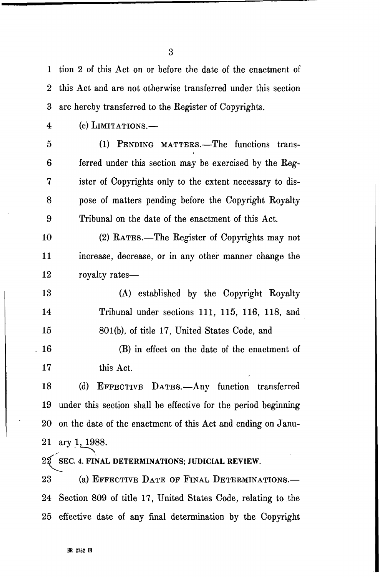1 tion 2 of this Act on or before the date of the enactment of 2 this Act and are not otherwise transferred under this section 3 are hereby transferred to the Register of Copyrights.

3

4 (c) LIMITATIONS.—

5 (1) PENDING MATTERS.—The functions trans-6 ferred under this section may be exercised by the Reg-7 ister of Copyrights only to the extent necessary to dis-8 pose of matters pending before the Copyright Royalty 9 Tribunal on the date of the enactment of this Act.

10 (2) RATES.—The Register of Copyrights may not 11 increase, decrease, or in any other manner change the 12 royalty rates—

13 (A) established by the Copyright Royalty 14 Tribunal under sections 111, 115, 116, 118, and 15 801(b), of title 17, United States Code, and

 $16$  (B) in effect on the date of the enactment of 17 this Act.

18 (d) EFFECTIVE DATES.—Any function transferred 19 under this section shall be effective for the period beginning 20 on the date of the enactment of this Act and ending on Janu-21 ary 1, 1988.

 $2\widetilde{2}$  SEC. 4. FINAL DETERMINATIONS; JUDICIAL REVIEW.

23 (a) EFFECTIVE DATE OF FINAL DETEEMINATIONS.— 24 Section 809 of title 17, United States Code, relating to the 25 effective date of any final determination by the Copyright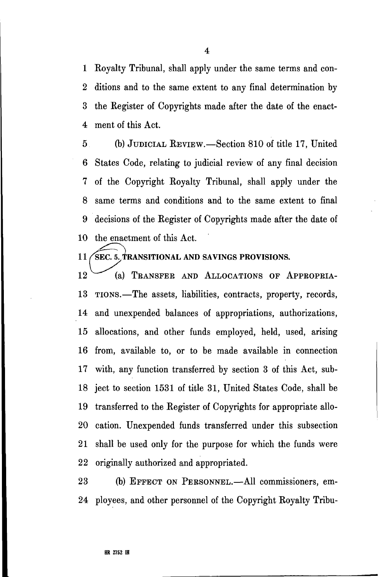1 Royalty Tribunal, shall apply under the same terms and con-2 ditions and to the same extent to any final determination by 3 the Register of Copyrights made after the date of the enact-4 ment of this Act.

5 (b) JUDICIAL REVIEW.—Section 810 of title 17, United 6 States Code, relating to judicial review of any final decision 7 of the Copyright Royalty Tribunal, shall apply under the 8 same terms and conditions and to the same extent to final 9 decisions of the Register of Copyrights made after the date of 10 the enactment of this Act.

## 11 / SEC. 5. TRANSITIONAL AND SAVINGS PROVISIONS.

12 (a) TRANSFER AND ALLOCATIONS OF APPROPRIA-13 TIONS.—The assets, liabilities, contracts, property, records, 14 and unexpended balances of appropriations, authorizations, 15 allocations, and other funds employed, held, used, arising 16 from, available to, or to be made available in connection 17 with, any function transferred by section 3 of this Act, sub-18 ject to section 1531 of title 31, United States Code, shall be 19 transferred to the Register of Copyrights for appropriate allo-20 cation. Unexpended funds transferred under this subsection 21 shall be used only for the purpose for which the funds were 22 originally authorized and appropriated.

23 (b) EFFECT ON PERSONNEL.—All commissioners, em-24 ployees, and other personnel of the Copyright Royalty Tribu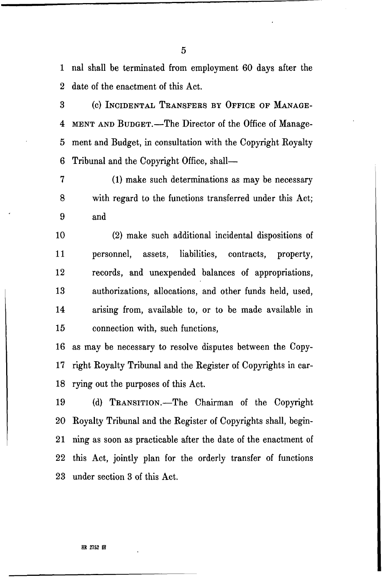1 nal shall be terminated from employment 60 days after the 2 date of the enactment of this Act.

3 (c) INCIDENTAL TEANSFEES BY OFFICE OF MANAGE-4 MENT AND BUDGET.—The Director of the Office of Manage-5 ment and Budget, in consultation with the Copyright Royalty 6 Tribunal and the Copyright Office, shall—

7 (1) make such determinations as may be necessary 8 with regard to the functions transferred under this Act; 9 and

10 (2) make such additional incidental dispositions of 11 personnel, assets, liabilities, contracts, property, 12 records, and unexpended balances of appropriations, 13 authorizations, allocations, and other funds held, used, 14 arising from, available to, or to be made available in 15 connection with, such functions,

16 as may be necessary to resolve disputes between the Copy-17 right Royalty Tribunal and the Register of Copyrights in car-18 rying out the purposes of this Act.

19 (d) TEANSITION.—The Chairman of the Copyright 20 Royalty Tribunal and the Register of Copyrights shall, begin-21 ning as soon as practicable after the date of the enactment of 22 this Act, jointly plan for the orderly transfer of functions 23 under section 3 of this Act.

5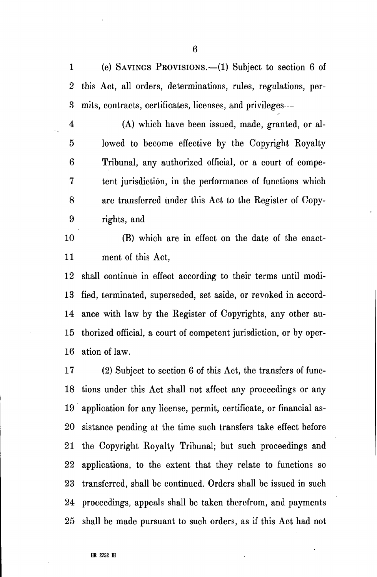1 (e) SAVINGS PEOVISIONS.—(1) Subject to section 6 of 2 this Act, all orders, determinations, rules, regulations, per-3 mits, contracts, certificates, licenses, and privileges—

4 (A) which have been issued, made, granted, or al-5 lowed to become effective by the Copyright Royalty 6 Tribunal, any authorized official, or a court of compe-7 tent jurisdiction, in the performance of functions which 8 are transferred under this Act to the Register of Copy-9 rights, and

10 (B) which are in effect on the date of the enact-11 ment of this Act,

12 shall continue in effect according to their terms until modi-13 fied, terminated, superseded, set aside, or revoked in accord-14 ance with law by the Register of Copyrights, any other au-15 thorized official, a court of competent jurisdiction, or by oper-16 ation of law.

17 (2) Subject to section 6 of this Act, the transfers of func-18 tions under this Act shall not affect any proceedings or any 19 application for any license, permit, certificate, or financial as-20 sistance pending at the time such transfers take effect before 21 the Copyright Royalty Tribunal; but such proceedings and 22 applications, to the extent that they relate to functions so 23 transferred, shall be continued. Orders shall be issued in such 24 proceedings, appeals shall be taken therefrom, and payments 25 shall be made pursuant to such orders, as if this Act had not